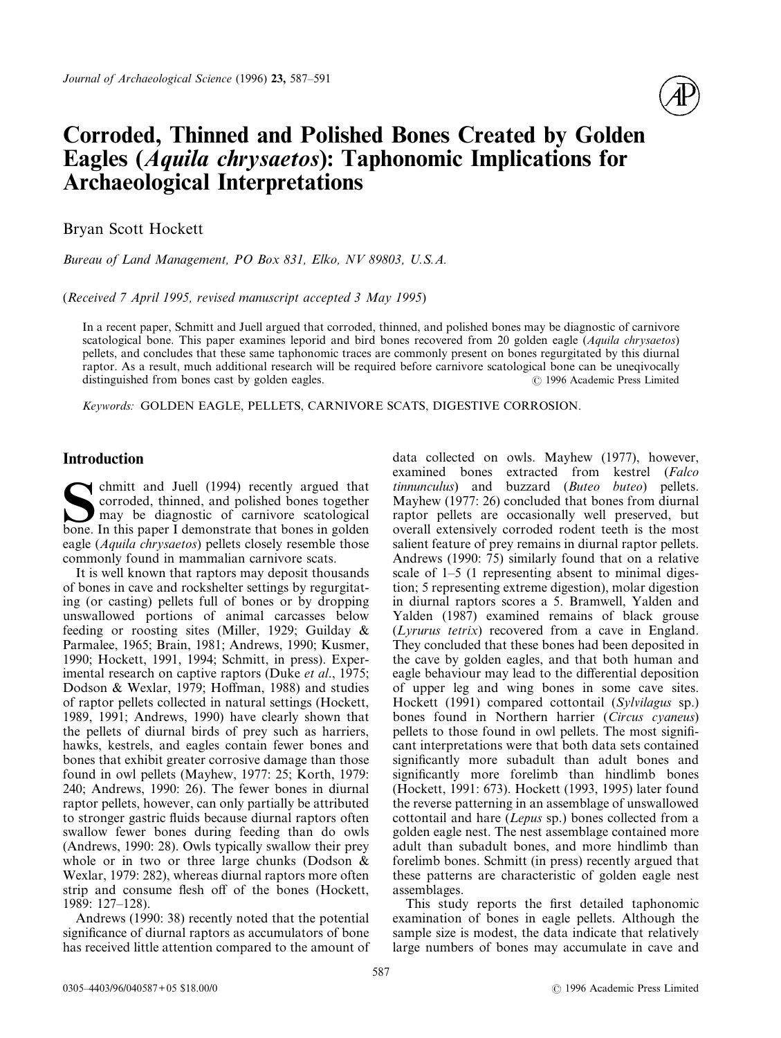

# **Corroded, Thinned and Polished Bones Created by Golden Eagles (***Aquila chrysaetos***): Taphonomic Implications for Archaeological Interpretations**

Bryan Scott Hockett

*Bureau of Land Management, PO Box 831, Elko, NV 89803, U.S.A.*

(*Received 7 April 1995, revised manuscript accepted 3 May 1995*)

In a recent paper, Schmitt and Juell argued that corroded, thinned, and polished bones may be diagnostic of carnivore scatological bone. This paper examines leporid and bird bones recovered from 20 golden eagle (*Aquila chrysaetos*) pellets, and concludes that these same taphonomic traces are commonly present on bones regurgitated by this diurnal raptor. As a result, much additional research will be required before carnivore scatological bone can be uneqivocally distinguished from bones cast by golden eagles. ? 1996 Academic Press Limited

*Keywords:* GOLDEN EAGLE, PELLETS, CARNIVORE SCATS, DIGESTIVE CORROSION.

# **Introduction**

Subsectional Ivell (1994) recently argued that corroded, thinned, and polished bones together may be diagnostic of carnivore scatological bone. In this paper I demonstrate that bones in golden corroded, thinned, and polished bones together may be diagnostic of carnivore scatological eagle (*Aquila chrysaetos*) pellets closely resemble those commonly found in mammalian carnivore scats.

It is well known that raptors may deposit thousands of bones in cave and rockshelter settings by regurgitating (or casting) pellets full of bones or by dropping unswallowed portions of animal carcasses below feeding or roosting sites (Miller, 1929; Guilday & Parmalee, 1965; Brain, 1981; Andrews, 1990; Kusmer, 1990; Hockett, 1991, 1994; Schmitt, in press). Experimental research on captive raptors (Duke *et al*., 1975; Dodson & Wexlar, 1979; Hoffman, 1988) and studies of raptor pellets collected in natural settings (Hockett, 1989, 1991; Andrews, 1990) have clearly shown that the pellets of diurnal birds of prey such as harriers, hawks, kestrels, and eagles contain fewer bones and bones that exhibit greater corrosive damage than those found in owl pellets (Mayhew, 1977: 25; Korth, 1979: 240; Andrews, 1990: 26). The fewer bones in diurnal raptor pellets, however, can only partially be attributed to stronger gastric fluids because diurnal raptors often swallow fewer bones during feeding than do owls (Andrews, 1990: 28). Owls typically swallow their prey whole or in two or three large chunks (Dodson & Wexlar, 1979: 282), whereas diurnal raptors more often strip and consume flesh off of the bones (Hockett, 1989: 127–128).

Andrews (1990: 38) recently noted that the potential significance of diurnal raptors as accumulators of bone has received little attention compared to the amount of data collected on owls. Mayhew (1977), however, examined bones extracted from kestrel (*Falco tinnunculus*) and buzzard (*Buteo buteo*) pellets. Mayhew (1977: 26) concluded that bones from diurnal raptor pellets are occasionally well preserved, but overall extensively corroded rodent teeth is the most salient feature of prey remains in diurnal raptor pellets. Andrews (1990: 75) similarly found that on a relative scale of 1–5 (1 representing absent to minimal digestion; 5 representing extreme digestion), molar digestion in diurnal raptors scores a 5. Bramwell, Yalden and Yalden (1987) examined remains of black grouse (*Lyrurus tetrix*) recovered from a cave in England. They concluded that these bones had been deposited in the cave by golden eagles, and that both human and eagle behaviour may lead to the differential deposition of upper leg and wing bones in some cave sites. Hockett (1991) compared cottontail (*Sylvilagus* sp.) bones found in Northern harrier (*Circus cyaneus*) pellets to those found in owl pellets. The most significant interpretations were that both data sets contained significantly more subadult than adult bones and significantly more forelimb than hindlimb bones (Hockett, 1991: 673). Hockett (1993, 1995) later found the reverse patterning in an assemblage of unswallowed cottontail and hare (*Lepus* sp.) bones collected from a golden eagle nest. The nest assemblage contained more adult than subadult bones, and more hindlimb than forelimb bones. Schmitt (in press) recently argued that these patterns are characteristic of golden eagle nest assemblages.

This study reports the first detailed taphonomic examination of bones in eagle pellets. Although the sample size is modest, the data indicate that relatively large numbers of bones may accumulate in cave and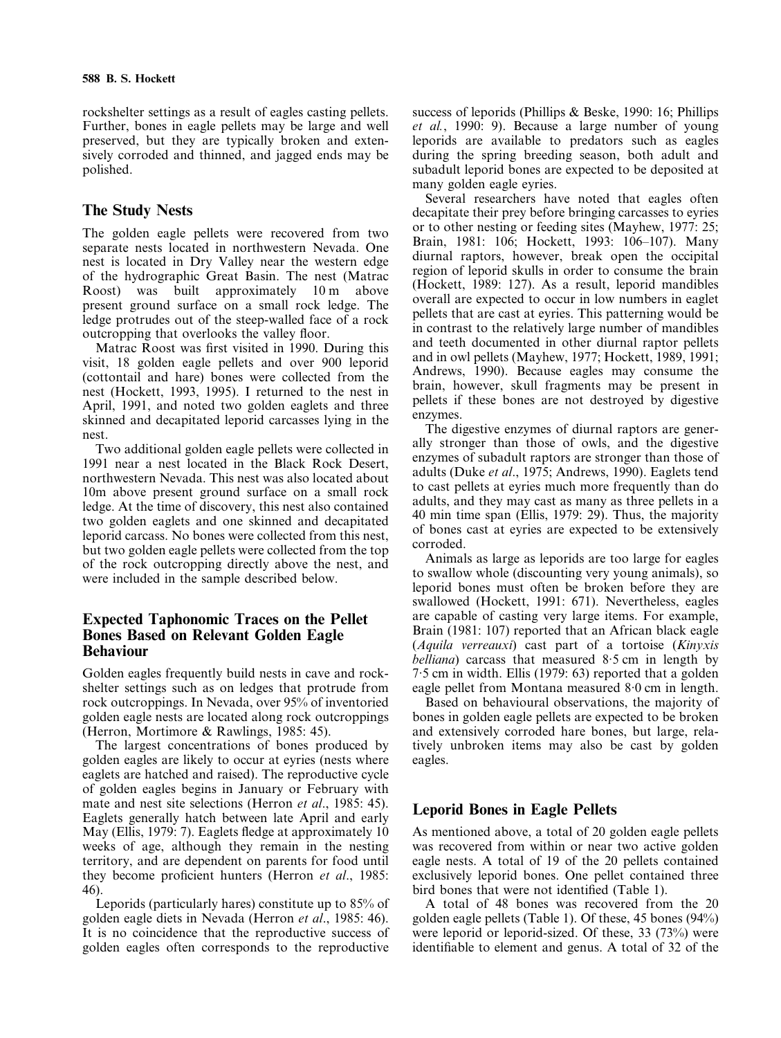rockshelter settings as a result of eagles casting pellets. Further, bones in eagle pellets may be large and well preserved, but they are typically broken and extensively corroded and thinned, and jagged ends may be polished.

## **The Study Nests**

The golden eagle pellets were recovered from two separate nests located in northwestern Nevada. One nest is located in Dry Valley near the western edge of the hydrographic Great Basin. The nest (Matrac Roost) was built approximately 10 m above present ground surface on a small rock ledge. The ledge protrudes out of the steep-walled face of a rock outcropping that overlooks the valley floor.

Matrac Roost was first visited in 1990. During this visit, 18 golden eagle pellets and over 900 leporid (cottontail and hare) bones were collected from the nest (Hockett, 1993, 1995). I returned to the nest in April, 1991, and noted two golden eaglets and three skinned and decapitated leporid carcasses lying in the nest.

Two additional golden eagle pellets were collected in 1991 near a nest located in the Black Rock Desert, northwestern Nevada. This nest was also located about 10m above present ground surface on a small rock ledge. At the time of discovery, this nest also contained two golden eaglets and one skinned and decapitated leporid carcass. No bones were collected from this nest, but two golden eagle pellets were collected from the top of the rock outcropping directly above the nest, and were included in the sample described below.

## **Expected Taphonomic Traces on the Pellet Bones Based on Relevant Golden Eagle Behaviour**

Golden eagles frequently build nests in cave and rockshelter settings such as on ledges that protrude from rock outcroppings. In Nevada, over 95% of inventoried golden eagle nests are located along rock outcroppings (Herron, Mortimore & Rawlings, 1985: 45).

The largest concentrations of bones produced by golden eagles are likely to occur at eyries (nests where eaglets are hatched and raised). The reproductive cycle of golden eagles begins in January or February with mate and nest site selections (Herron *et al*., 1985: 45). Eaglets generally hatch between late April and early May (Ellis, 1979: 7). Eaglets fledge at approximately 10 weeks of age, although they remain in the nesting territory, and are dependent on parents for food until they become proficient hunters (Herron *et al*., 1985: 46).

Leporids (particularly hares) constitute up to 85% of golden eagle diets in Nevada (Herron *et al*., 1985: 46). It is no coincidence that the reproductive success of golden eagles often corresponds to the reproductive

success of leporids (Phillips & Beske, 1990: 16; Phillips *et al.*, 1990: 9). Because a large number of young leporids are available to predators such as eagles during the spring breeding season, both adult and subadult leporid bones are expected to be deposited at many golden eagle eyries.

Several researchers have noted that eagles often decapitate their prey before bringing carcasses to eyries or to other nesting or feeding sites (Mayhew, 1977: 25; Brain, 1981: 106; Hockett, 1993: 106–107). Many diurnal raptors, however, break open the occipital region of leporid skulls in order to consume the brain (Hockett, 1989: 127). As a result, leporid mandibles overall are expected to occur in low numbers in eaglet pellets that are cast at eyries. This patterning would be in contrast to the relatively large number of mandibles and teeth documented in other diurnal raptor pellets and in owl pellets (Mayhew, 1977; Hockett, 1989, 1991; Andrews, 1990). Because eagles may consume the brain, however, skull fragments may be present in pellets if these bones are not destroyed by digestive enzymes.

The digestive enzymes of diurnal raptors are generally stronger than those of owls, and the digestive enzymes of subadult raptors are stronger than those of adults (Duke *et al*., 1975; Andrews, 1990). Eaglets tend to cast pellets at eyries much more frequently than do adults, and they may cast as many as three pellets in a 40 min time span (Ellis, 1979: 29). Thus, the majority of bones cast at eyries are expected to be extensively corroded.

Animals as large as leporids are too large for eagles to swallow whole (discounting very young animals), so leporid bones must often be broken before they are swallowed (Hockett, 1991: 671). Nevertheless, eagles are capable of casting very large items. For example, Brain (1981: 107) reported that an African black eagle (*Aquila verreauxi*) cast part of a tortoise (*Kinyxis belliana*) carcass that measured 8·5 cm in length by 7·5 cm in width. Ellis (1979: 63) reported that a golden eagle pellet from Montana measured 8·0 cm in length.

Based on behavioural observations, the majority of bones in golden eagle pellets are expected to be broken and extensively corroded hare bones, but large, relatively unbroken items may also be cast by golden eagles.

## **Leporid Bones in Eagle Pellets**

As mentioned above, a total of 20 golden eagle pellets was recovered from within or near two active golden eagle nests. A total of 19 of the 20 pellets contained exclusively leporid bones. One pellet contained three bird bones that were not identified (Table 1).

A total of 48 bones was recovered from the 20 golden eagle pellets (Table 1). Of these, 45 bones (94%) were leporid or leporid-sized. Of these, 33 (73%) were identifiable to element and genus. A total of 32 of the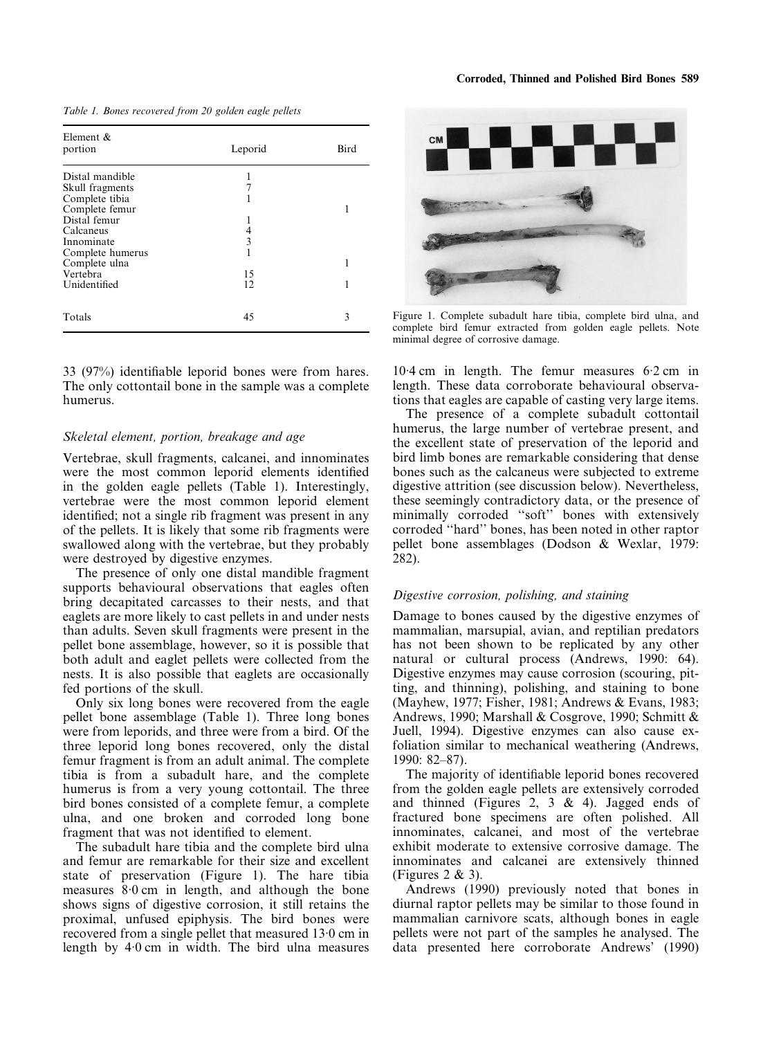*Table 1. Bones recovered from 20 golden eagle pellets*

| Element &<br>portion | Leporid | <b>Bird</b> |
|----------------------|---------|-------------|
| Distal mandible      |         |             |
| Skull fragments      |         |             |
| Complete tibia       |         |             |
| Complete femur       |         |             |
| Distal femur         |         |             |
| Calcaneus            | 4       |             |
| Innominate           | 3       |             |
| Complete humerus     |         |             |
| Complete ulna        |         | 1           |
| Vertebra             | 15      |             |
| Unidentified         | 12      | 1           |
| Totals               | 45      | 3           |

33 (97%) identifiable leporid bones were from hares. The only cottontail bone in the sample was a complete humerus.

#### *Skeletal element, portion, breakage and age*

Vertebrae, skull fragments, calcanei, and innominates were the most common leporid elements identified in the golden eagle pellets (Table 1). Interestingly, vertebrae were the most common leporid element identified; not a single rib fragment was present in any of the pellets. It is likely that some rib fragments were swallowed along with the vertebrae, but they probably were destroyed by digestive enzymes.

The presence of only one distal mandible fragment supports behavioural observations that eagles often bring decapitated carcasses to their nests, and that eaglets are more likely to cast pellets in and under nests than adults. Seven skull fragments were present in the pellet bone assemblage, however, so it is possible that both adult and eaglet pellets were collected from the nests. It is also possible that eaglets are occasionally fed portions of the skull.

Only six long bones were recovered from the eagle pellet bone assemblage (Table 1). Three long bones were from leporids, and three were from a bird. Of the three leporid long bones recovered, only the distal femur fragment is from an adult animal. The complete tibia is from a subadult hare, and the complete humerus is from a very young cottontail. The three bird bones consisted of a complete femur, a complete ulna, and one broken and corroded long bone fragment that was not identified to element.

The subadult hare tibia and the complete bird ulna and femur are remarkable for their size and excellent state of preservation (Figure 1). The hare tibia measures 8·0 cm in length, and although the bone shows signs of digestive corrosion, it still retains the proximal, unfused epiphysis. The bird bones were recovered from a single pellet that measured 13·0 cm in length by 4·0 cm in width. The bird ulna measures



Figure 1. Complete subadult hare tibia, complete bird ulna, and complete bird femur extracted from golden eagle pellets. Note minimal degree of corrosive damage.

10·4 cm in length. The femur measures 6·2 cm in length. These data corroborate behavioural observations that eagles are capable of casting very large items.

The presence of a complete subadult cottontail humerus, the large number of vertebrae present, and the excellent state of preservation of the leporid and bird limb bones are remarkable considering that dense bones such as the calcaneus were subjected to extreme digestive attrition (see discussion below). Nevertheless, these seemingly contradictory data, or the presence of minimally corroded ''soft'' bones with extensively corroded ''hard'' bones, has been noted in other raptor pellet bone assemblages (Dodson & Wexlar, 1979: 282).

#### *Digestive corrosion, polishing, and staining*

Damage to bones caused by the digestive enzymes of mammalian, marsupial, avian, and reptilian predators has not been shown to be replicated by any other natural or cultural process (Andrews, 1990: 64). Digestive enzymes may cause corrosion (scouring, pitting, and thinning), polishing, and staining to bone (Mayhew, 1977; Fisher, 1981; Andrews & Evans, 1983; Andrews, 1990; Marshall & Cosgrove, 1990; Schmitt & Juell, 1994). Digestive enzymes can also cause exfoliation similar to mechanical weathering (Andrews, 1990: 82–87).

The majority of identifiable leporid bones recovered from the golden eagle pellets are extensively corroded and thinned (Figures 2, 3 & 4). Jagged ends of fractured bone specimens are often polished. All innominates, calcanei, and most of the vertebrae exhibit moderate to extensive corrosive damage. The innominates and calcanei are extensively thinned (Figures 2 & 3).

Andrews (1990) previously noted that bones in diurnal raptor pellets may be similar to those found in mammalian carnivore scats, although bones in eagle pellets were not part of the samples he analysed. The data presented here corroborate Andrews' (1990)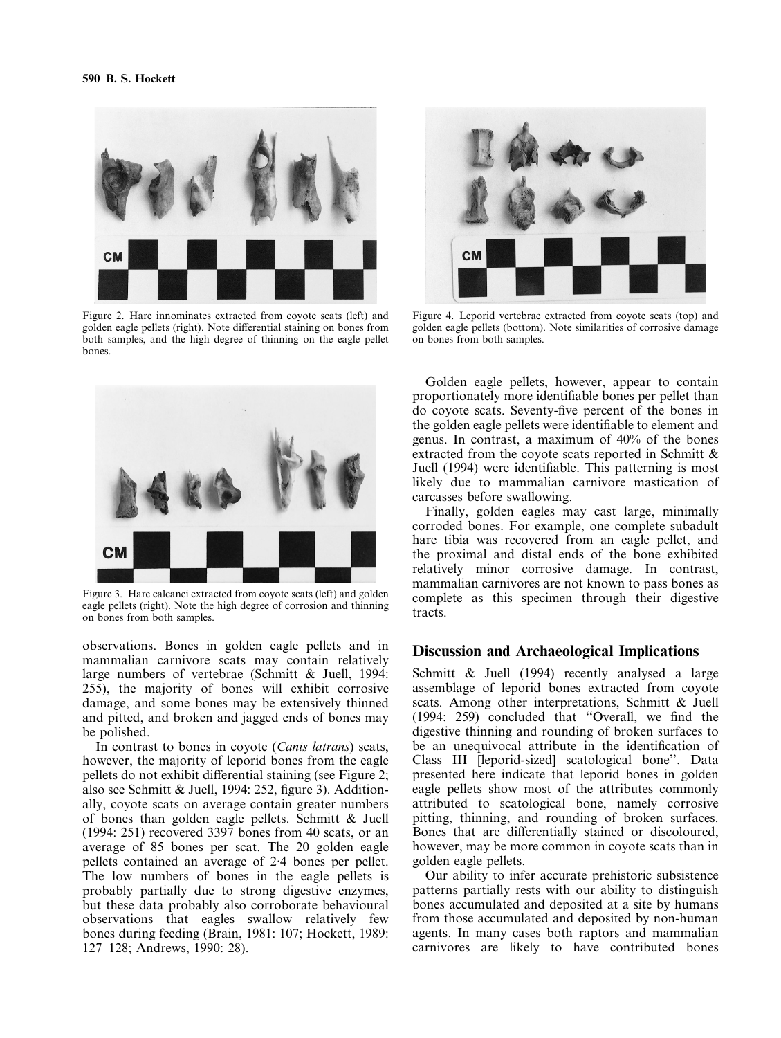

Figure 2. Hare innominates extracted from coyote scats (left) and golden eagle pellets (right). Note differential staining on bones from both samples, and the high degree of thinning on the eagle pellet bones.



Figure 3. Hare calcanei extracted from coyote scats (left) and golden eagle pellets (right). Note the high degree of corrosion and thinning on bones from both samples.

observations. Bones in golden eagle pellets and in mammalian carnivore scats may contain relatively large numbers of vertebrae (Schmitt & Juell, 1994: 255), the majority of bones will exhibit corrosive damage, and some bones may be extensively thinned and pitted, and broken and jagged ends of bones may be polished.

In contrast to bones in coyote (*Canis latrans*) scats, however, the majority of leporid bones from the eagle pellets do not exhibit differential staining (see Figure 2; also see Schmitt & Juell, 1994: 252, figure 3). Additionally, coyote scats on average contain greater numbers of bones than golden eagle pellets. Schmitt & Juell (1994: 251) recovered 3397 bones from 40 scats, or an average of 85 bones per scat. The 20 golden eagle pellets contained an average of 2·4 bones per pellet. The low numbers of bones in the eagle pellets is probably partially due to strong digestive enzymes, but these data probably also corroborate behavioural observations that eagles swallow relatively few bones during feeding (Brain, 1981: 107; Hockett, 1989: 127–128; Andrews, 1990: 28).



Figure 4. Leporid vertebrae extracted from coyote scats (top) and golden eagle pellets (bottom). Note similarities of corrosive damage on bones from both samples.

Golden eagle pellets, however, appear to contain proportionately more identifiable bones per pellet than do coyote scats. Seventy-five percent of the bones in the golden eagle pellets were identifiable to element and genus. In contrast, a maximum of 40% of the bones extracted from the coyote scats reported in Schmitt & Juell (1994) were identifiable. This patterning is most likely due to mammalian carnivore mastication of carcasses before swallowing.

Finally, golden eagles may cast large, minimally corroded bones. For example, one complete subadult hare tibia was recovered from an eagle pellet, and the proximal and distal ends of the bone exhibited relatively minor corrosive damage. In contrast, mammalian carnivores are not known to pass bones as complete as this specimen through their digestive tracts.

## **Discussion and Archaeological Implications**

Schmitt & Juell (1994) recently analysed a large assemblage of leporid bones extracted from coyote scats. Among other interpretations, Schmitt & Juell (1994: 259) concluded that ''Overall, we find the digestive thinning and rounding of broken surfaces to be an unequivocal attribute in the identification of Class III [leporid-sized] scatological bone''. Data presented here indicate that leporid bones in golden eagle pellets show most of the attributes commonly attributed to scatological bone, namely corrosive pitting, thinning, and rounding of broken surfaces. Bones that are differentially stained or discoloured, however, may be more common in coyote scats than in golden eagle pellets.

Our ability to infer accurate prehistoric subsistence patterns partially rests with our ability to distinguish bones accumulated and deposited at a site by humans from those accumulated and deposited by non-human agents. In many cases both raptors and mammalian carnivores are likely to have contributed bones